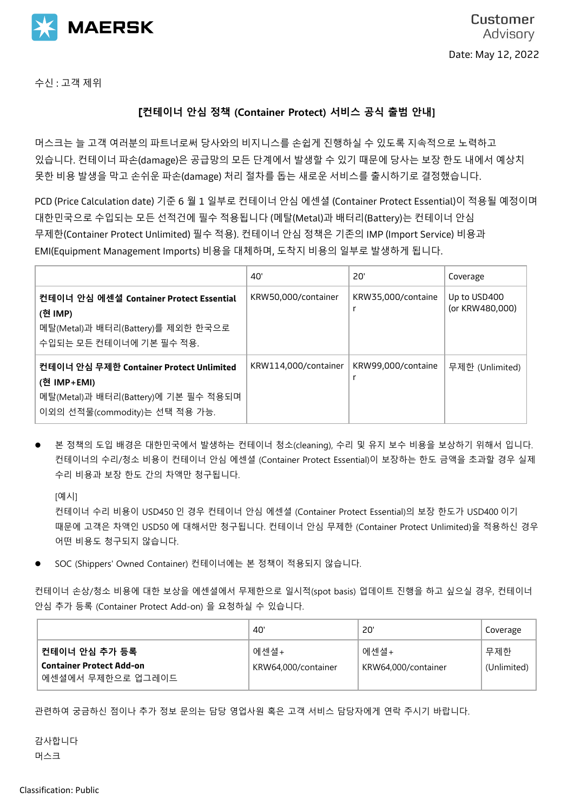

수신 : 고객 제위

## **[컨테이너 안심 정책 (Container Protect) 서비스 공식 출범 안내]**

머스크는 늘 고객 여러분의 파트너로써 당사와의 비지니스를 손쉽게 진행하실 수 있도록 지속적으로 노력하고 있습니다. 컨테이너 파손(damage)은 공급망의 모든 단계에서 발생할 수 있기 때문에 당사는 보장 한도 내에서 예상치 못한 비용 발생을 막고 손쉬운 파손(damage) 처리 절차를 돕는 새로운 서비스를 출시하기로 결정했습니다.

PCD (Price Calculation date) 기준 6 월 1 일부로 컨테이너 안심 에센셜 (Container Protect Essential)이 적용될 예정이며 대한민국으로 수입되는 모든 선적건에 필수 적용됩니다 (메탈(Metal)과 배터리(Battery)는 컨테이너 안심 무제한(Container Protect Unlimited) 필수 적용). 컨테이너 안심 정책은 기존의 IMP (Import Service) 비용과 EMI(Equipment Management Imports) 비용을 대체하며, 도착지 비용의 일부로 발생하게 됩니다.

|                                                                                                                                | 40'                  | 20'                | Coverage                        |
|--------------------------------------------------------------------------------------------------------------------------------|----------------------|--------------------|---------------------------------|
| 컨테이너 안심 에센셜 Container Protect Essential<br>(현 IMP)                                                                             | KRW50,000/container  | KRW35,000/containe | Up to USD400<br>(or KRW480,000) |
| 메탈(Metal)과 배터리(Battery)를 제외한 한국으로<br>수입되는 모든 컨테이너에 기본 필수 적용.                                                                   |                      |                    |                                 |
| 컨테이너 안심 무제한 Container Protect Unlimited<br>(현 IMP+EMI)<br>메탈(Metal)과 배터리(Battery)에 기본 필수 적용되며<br>이외의 선적물(commodity)는 선택 적용 가능. | KRW114,000/container | KRW99,000/containe | 무제한 (Unlimited)                 |

본 정책의 도입 배경은 대한민국에서 발생하는 컨테이너 청소(cleaning), 수리 및 유지 보수 비용을 보상하기 위해서 입니다. 컨테이너의 수리/청소 비용이 컨테이너 안심 에센셜 (Container Protect Essential)이 보장하는 한도 금액을 초과할 경우 실제 수리 비용과 보장 한도 간의 차액만 청구됩니다.

[예시]

컨테이너 수리 비용이 USD450 인 경우 컨테이너 안심 에센셜 (Container Protect Essential)의 보장 한도가 USD400 이기 때문에 고객은 차액인 USD50 에 대해서만 청구됩니다. 컨테이너 안심 무제한 (Container Protect Unlimited)을 적용하신 경우 어떤 비용도 청구되지 않습니다.

⚫ SOC (Shippers' Owned Container) 컨테이너에는 본 정책이 적용되지 않습니다.

컨테이너 손상/청소 비용에 대한 보상을 에센셜에서 무제한으로 일시적(spot basis) 업데이트 진행을 하고 싶으실 경우, 컨테이너 안심 추가 등록 (Container Protect Add-on) 을 요청하실 수 있습니다.

|                                                                       | 40'                         | 20'                         | Coverage           |
|-----------------------------------------------------------------------|-----------------------------|-----------------------------|--------------------|
| 컨테이너 안심 추가 등록<br><b>Container Protect Add-on</b><br>에센셜에서 무제한으로 업그레이드 | 에센셜+<br>KRW64,000/container | 에센셜+<br>KRW64,000/container | 무제한<br>(Unlimited) |

관련하여 궁금하신 점이나 추가 정보 문의는 담당 영업사원 혹은 고객 서비스 담당자에게 연락 주시기 바랍니다.

감사합니다 머스크